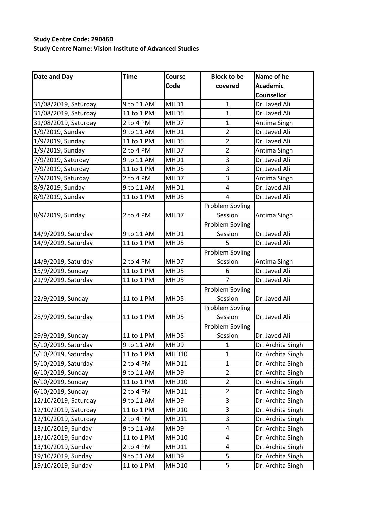## **Study Centre Code: 29046D Study Centre Name: Vision Institute of Advanced Studies**

| Date and Day         | <b>Time</b> | Course | <b>Block to be</b>     | Name of he        |
|----------------------|-------------|--------|------------------------|-------------------|
|                      |             | Code   | covered                | <b>Academic</b>   |
|                      |             |        |                        | <b>Counsellor</b> |
| 31/08/2019, Saturday | 9 to 11 AM  | MHD1   | $\mathbf{1}$           | Dr. Javed Ali     |
| 31/08/2019, Saturday | 11 to 1 PM  | MHD5   | $\mathbf{1}$           | Dr. Javed Ali     |
| 31/08/2019, Saturday | 2 to 4 PM   | MHD7   | 1                      | Antima Singh      |
| 1/9/2019, Sunday     | 9 to 11 AM  | MHD1   | $\overline{2}$         | Dr. Javed Ali     |
| 1/9/2019, Sunday     | 11 to 1 PM  | MHD5   | $\overline{2}$         | Dr. Javed Ali     |
| 1/9/2019, Sunday     | 2 to 4 PM   | MHD7   | $\overline{2}$         | Antima Singh      |
| 7/9/2019, Saturday   | 9 to 11 AM  | MHD1   | 3                      | Dr. Javed Ali     |
| 7/9/2019, Saturday   | 11 to 1 PM  | MHD5   | 3                      | Dr. Javed Ali     |
| 7/9/2019, Saturday   | 2 to 4 PM   | MHD7   | 3                      | Antima Singh      |
| 8/9/2019, Sunday     | 9 to 11 AM  | MHD1   | 4                      | Dr. Javed Ali     |
| 8/9/2019, Sunday     | 11 to 1 PM  | MHD5   | $\overline{4}$         | Dr. Javed Ali     |
|                      |             |        | <b>Problem Sovling</b> |                   |
| 8/9/2019, Sunday     | 2 to 4 PM   | MHD7   | Session                | Antima Singh      |
|                      |             |        | <b>Problem Sovling</b> |                   |
| 14/9/2019, Saturday  | 9 to 11 AM  | MHD1   | Session                | Dr. Javed Ali     |
| 14/9/2019, Saturday  | 11 to 1 PM  | MHD5   | 5                      | Dr. Javed Ali     |
|                      |             |        | <b>Problem Sovling</b> |                   |
| 14/9/2019, Saturday  | 2 to 4 PM   | MHD7   | Session                | Antima Singh      |
| 15/9/2019, Sunday    | 11 to 1 PM  | MHD5   | 6                      | Dr. Javed Ali     |
| 21/9/2019, Saturday  | 11 to 1 PM  | MHD5   | $\overline{7}$         | Dr. Javed Ali     |
|                      |             |        | <b>Problem Sovling</b> |                   |
| 22/9/2019, Sunday    | 11 to 1 PM  | MHD5   | Session                | Dr. Javed Ali     |
|                      |             |        | <b>Problem Sovling</b> |                   |
| 28/9/2019, Saturday  | 11 to 1 PM  | MHD5   | Session                | Dr. Javed Ali     |
|                      |             |        | <b>Problem Sovling</b> |                   |
| 29/9/2019, Sunday    | 11 to 1 PM  | MHD5   | Session                | Dr. Javed Ali     |
| 5/10/2019, Saturday  | 9 to 11 AM  | MHD9   | 1                      | Dr. Archita Singh |
| 5/10/2019, Saturday  | 11 to 1 PM  | MHD10  | $\mathbf{1}$           | Dr. Archita Singh |
| 5/10/2019, Saturday  | 2 to 4 PM   | MHD11  | $\mathbf{1}$           | Dr. Archita Singh |
| 6/10/2019, Sunday    | 9 to 11 AM  | MHD9   | 2                      | Dr. Archita Singh |
| 6/10/2019, Sunday    | 11 to 1 PM  | MHD10  | $\overline{2}$         | Dr. Archita Singh |
| 6/10/2019, Sunday    | 2 to 4 PM   | MHD11  | $\overline{2}$         | Dr. Archita Singh |
| 12/10/2019, Saturday | 9 to 11 AM  | MHD9   | 3                      | Dr. Archita Singh |
| 12/10/2019, Saturday | 11 to 1 PM  | MHD10  | 3                      | Dr. Archita Singh |
| 12/10/2019, Saturday | 2 to 4 PM   | MHD11  | 3                      | Dr. Archita Singh |
| 13/10/2019, Sunday   | 9 to 11 AM  | MHD9   | 4                      | Dr. Archita Singh |
| 13/10/2019, Sunday   | 11 to 1 PM  | MHD10  | 4                      | Dr. Archita Singh |
| 13/10/2019, Sunday   | 2 to 4 PM   | MHD11  | 4                      | Dr. Archita Singh |
| 19/10/2019, Sunday   | 9 to 11 AM  | MHD9   | 5                      | Dr. Archita Singh |
| 19/10/2019, Sunday   | 11 to 1 PM  | MHD10  | 5                      | Dr. Archita Singh |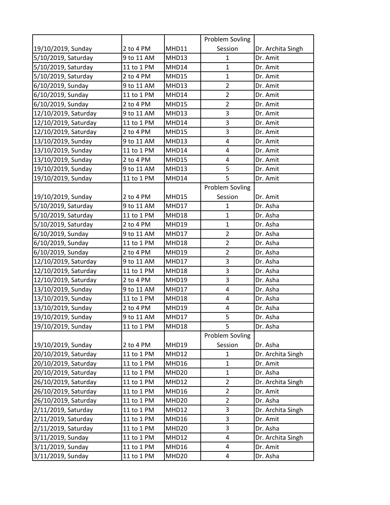|                      |            |                   | Problem Sovling        |                   |
|----------------------|------------|-------------------|------------------------|-------------------|
| 19/10/2019, Sunday   | 2 to 4 PM  | MHD11             | Session                | Dr. Archita Singh |
| 5/10/2019, Saturday  | 9 to 11 AM | MHD13             | 1                      | Dr. Amit          |
| 5/10/2019, Saturday  | 11 to 1 PM | MHD14             | $\mathbf{1}$           | Dr. Amit          |
| 5/10/2019, Saturday  | 2 to 4 PM  | MHD15             | $\mathbf{1}$           | Dr. Amit          |
| 6/10/2019, Sunday    | 9 to 11 AM | MHD13             | $\overline{2}$         | Dr. Amit          |
| 6/10/2019, Sunday    | 11 to 1 PM | MHD14             | $\overline{2}$         | Dr. Amit          |
| 6/10/2019, Sunday    | 2 to 4 PM  | MHD15             | $\overline{2}$         | Dr. Amit          |
| 12/10/2019, Saturday | 9 to 11 AM | MHD13             | 3                      | Dr. Amit          |
| 12/10/2019, Saturday | 11 to 1 PM | MHD14             | 3                      | Dr. Amit          |
| 12/10/2019, Saturday | 2 to 4 PM  | MHD15             | 3                      | Dr. Amit          |
| 13/10/2019, Sunday   | 9 to 11 AM | MHD13             | 4                      | Dr. Amit          |
| 13/10/2019, Sunday   | 11 to 1 PM | MHD14             | 4                      | Dr. Amit          |
| 13/10/2019, Sunday   | 2 to 4 PM  | MHD15             | 4                      | Dr. Amit          |
| 19/10/2019, Sunday   | 9 to 11 AM | MHD13             | 5                      | Dr. Amit          |
| 19/10/2019, Sunday   | 11 to 1 PM | MHD14             | 5                      | Dr. Amit          |
|                      |            |                   | <b>Problem Sovling</b> |                   |
| 19/10/2019, Sunday   | 2 to 4 PM  | MHD15             | Session                | Dr. Amit          |
| 5/10/2019, Saturday  | 9 to 11 AM | MHD17             | 1                      | Dr. Asha          |
| 5/10/2019, Saturday  | 11 to 1 PM | MHD18             | 1                      | Dr. Asha          |
| 5/10/2019, Saturday  | 2 to 4 PM  | MHD19             | $\mathbf{1}$           | Dr. Asha          |
| 6/10/2019, Sunday    | 9 to 11 AM | MHD17             | $\overline{2}$         | Dr. Asha          |
| 6/10/2019, Sunday    | 11 to 1 PM | MHD18             | $\overline{2}$         | Dr. Asha          |
| 6/10/2019, Sunday    | 2 to 4 PM  | MHD19             | $\overline{2}$         | Dr. Asha          |
| 12/10/2019, Saturday | 9 to 11 AM | MHD17             | 3                      | Dr. Asha          |
| 12/10/2019, Saturday | 11 to 1 PM | MHD18             | 3                      | Dr. Asha          |
| 12/10/2019, Saturday | 2 to 4 PM  | MHD19             | 3                      | Dr. Asha          |
| 13/10/2019, Sunday   | 9 to 11 AM | MHD17             | 4                      | Dr. Asha          |
| 13/10/2019, Sunday   | 11 to 1 PM | MHD18             | 4                      | Dr. Asha          |
| 13/10/2019, Sunday   | 2 to 4 PM  | MHD19             | 4                      | Dr. Asha          |
| 19/10/2019, Sunday   | 9 to 11 AM | MHD17             | 5                      | Dr. Asha          |
| 19/10/2019, Sunday   | 11 to 1 PM | MHD18             | 5                      | Dr. Asha          |
|                      |            |                   | Problem Sovling        |                   |
| 19/10/2019, Sunday   | 2 to 4 PM  | MHD19             | Session                | Dr. Asha          |
| 20/10/2019, Saturday | 11 to 1 PM | MHD12             | $\mathbf{1}$           | Dr. Archita Singh |
| 20/10/2019, Saturday | 11 to 1 PM | MHD16             | 1                      | Dr. Amit          |
| 20/10/2019, Saturday | 11 to 1 PM | MHD <sub>20</sub> | 1                      | Dr. Asha          |
| 26/10/2019, Saturday | 11 to 1 PM | MHD12             | $\overline{2}$         | Dr. Archita Singh |
| 26/10/2019, Saturday | 11 to 1 PM | MHD16             | $\overline{2}$         | Dr. Amit          |
| 26/10/2019, Saturday | 11 to 1 PM | MHD <sub>20</sub> | $\overline{2}$         | Dr. Asha          |
| 2/11/2019, Saturday  | 11 to 1 PM | MHD12             | 3                      | Dr. Archita Singh |
| 2/11/2019, Saturday  | 11 to 1 PM | MHD16             | 3                      | Dr. Amit          |
| 2/11/2019, Saturday  | 11 to 1 PM | MHD <sub>20</sub> | 3                      | Dr. Asha          |
| 3/11/2019, Sunday    | 11 to 1 PM | MHD12             | 4                      | Dr. Archita Singh |
| 3/11/2019, Sunday    | 11 to 1 PM | MHD16             | 4                      | Dr. Amit          |
| 3/11/2019, Sunday    | 11 to 1 PM | MHD <sub>20</sub> | 4                      | Dr. Asha          |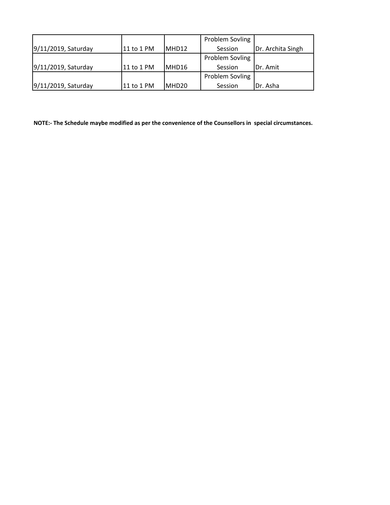|                     |            |       | Problem Sovling        |                   |
|---------------------|------------|-------|------------------------|-------------------|
| 9/11/2019, Saturday | 11 to 1 PM | MHD12 | Session                | Dr. Archita Singh |
|                     |            |       | <b>Problem Sovling</b> |                   |
| 9/11/2019, Saturday | 11 to 1 PM | MHD16 | Session                | IDr. Amit         |
|                     |            |       | Problem Sovling        |                   |
| 9/11/2019, Saturday | 11 to 1 PM | MHD20 | Session                | Dr. Asha          |

**NOTE:- The Schedule maybe modified as per the convenience of the Counsellors in special circumstances.**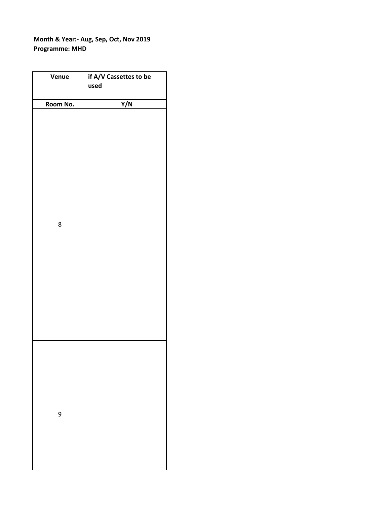## **Month & Year:- Aug, Sep, Oct, Nov 2019 Programme: MHD**

| Venue    | if A/V Cassettes to be |
|----------|------------------------|
|          | used                   |
|          |                        |
| Room No. | Y/N                    |
| 8        |                        |
| 9        |                        |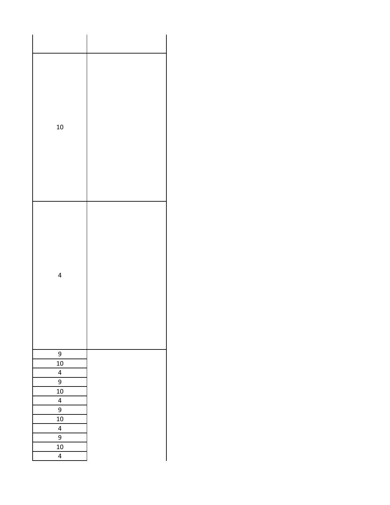| 10                                                                                                                                       |  |
|------------------------------------------------------------------------------------------------------------------------------------------|--|
| $\overline{\mathcal{A}}$                                                                                                                 |  |
| 9<br>10<br>$\overline{\mathbf{r}}$<br>$\overline{9}$<br>$10\,$<br>$\overline{\mathbf{r}}$<br>9<br>$10\,$<br>$\overline{\mathbf{r}}$<br>9 |  |
| $\overline{10}$<br>$\overline{\mathbf{r}}$                                                                                               |  |